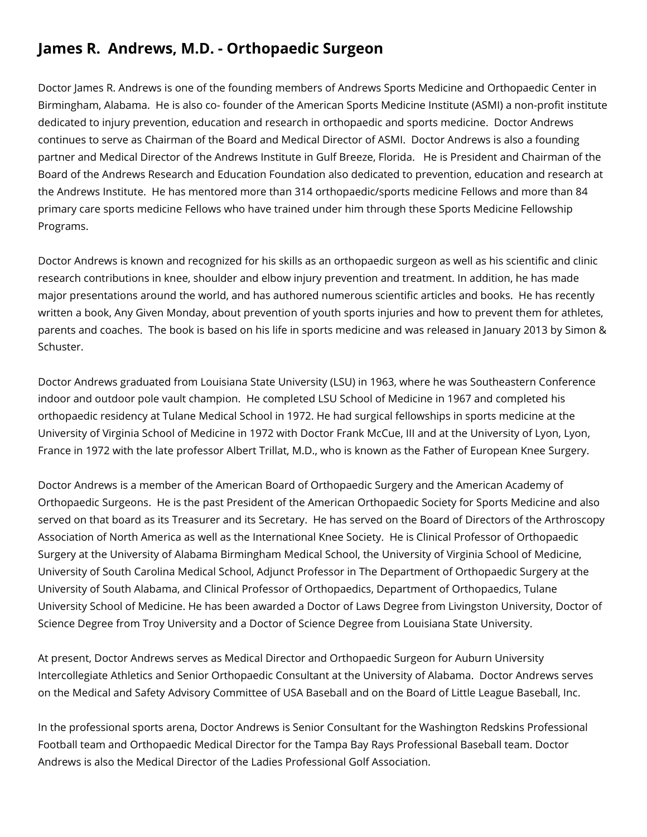## **James R. Andrews, M.D. - Orthopaedic Surgeon**

Doctor James R. Andrews is one of the founding members of Andrews Sports Medicine and Orthopaedic Center in Birmingham, Alabama. He is also co- founder of the American Sports Medicine Institute (ASMI) a non-profit institute dedicated to injury prevention, education and research in orthopaedic and sports medicine. Doctor Andrews continues to serve as Chairman of the Board and Medical Director of ASMI. Doctor Andrews is also a founding partner and Medical Director of the Andrews Institute in Gulf Breeze, Florida. He is President and Chairman of the Board of the Andrews Research and Education Foundation also dedicated to prevention, education and research at the Andrews Institute. He has mentored more than 314 orthopaedic/sports medicine Fellows and more than 84 primary care sports medicine Fellows who have trained under him through these Sports Medicine Fellowship Programs.

Doctor Andrews is known and recognized for his skills as an orthopaedic surgeon as well as his scientific and clinic research contributions in knee, shoulder and elbow injury prevention and treatment. In addition, he has made major presentations around the world, and has authored numerous scientific articles and books. He has recently written a book, Any Given Monday, about prevention of youth sports injuries and how to prevent them for athletes, parents and coaches. The book is based on his life in sports medicine and was released in January 2013 by Simon & Schuster.

Doctor Andrews graduated from Louisiana State University (LSU) in 1963, where he was Southeastern Conference indoor and outdoor pole vault champion. He completed LSU School of Medicine in 1967 and completed his orthopaedic residency at Tulane Medical School in 1972. He had surgical fellowships in sports medicine at the University of Virginia School of Medicine in 1972 with Doctor Frank McCue, III and at the University of Lyon, Lyon, France in 1972 with the late professor Albert Trillat, M.D., who is known as the Father of European Knee Surgery.

Doctor Andrews is a member of the American Board of Orthopaedic Surgery and the American Academy of Orthopaedic Surgeons. He is the past President of the American Orthopaedic Society for Sports Medicine and also served on that board as its Treasurer and its Secretary. He has served on the Board of Directors of the Arthroscopy Association of North America as well as the International Knee Society. He is Clinical Professor of Orthopaedic Surgery at the University of Alabama Birmingham Medical School, the University of Virginia School of Medicine, University of South Carolina Medical School, Adjunct Professor in The Department of Orthopaedic Surgery at the University of South Alabama, and Clinical Professor of Orthopaedics, Department of Orthopaedics, Tulane University School of Medicine. He has been awarded a Doctor of Laws Degree from Livingston University, Doctor of Science Degree from Troy University and a Doctor of Science Degree from Louisiana State University.

At present, Doctor Andrews serves as Medical Director and Orthopaedic Surgeon for Auburn University Intercollegiate Athletics and Senior Orthopaedic Consultant at the University of Alabama. Doctor Andrews serves on the Medical and Safety Advisory Committee of USA Baseball and on the Board of Little League Baseball, Inc.

In the professional sports arena, Doctor Andrews is Senior Consultant for the Washington Redskins Professional Football team and Orthopaedic Medical Director for the Tampa Bay Rays Professional Baseball team. Doctor Andrews is also the Medical Director of the Ladies Professional Golf Association.